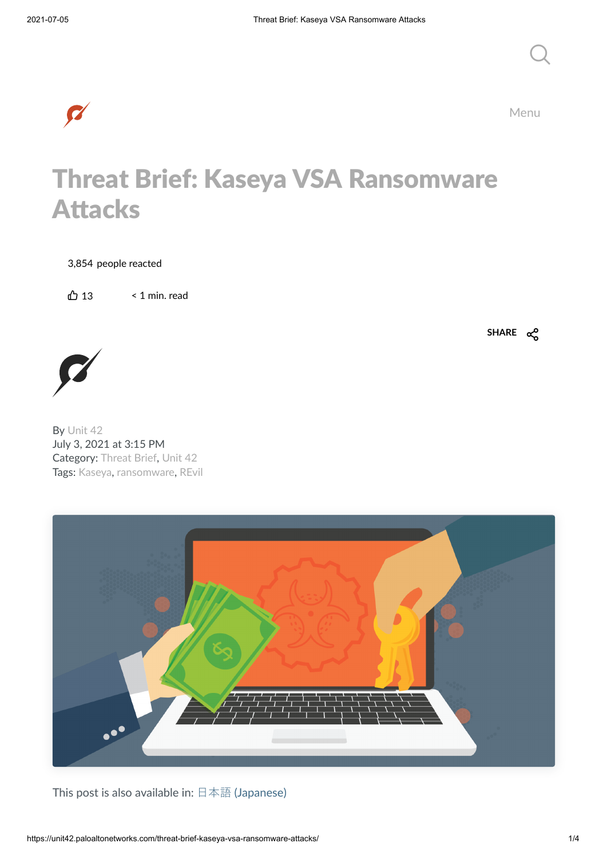Menu

 $Q_{\parallel}$ 

## Threat Brief: Kaseya VSA Ransomware Attacks

3,854 people reacted

 $\bigoplus$  13 < 1 min. read

**SHARE**



By [Unit](https://unit42.paloaltonetworks.com/author/unit42/) 42 July 3, 2021 at 3:15 PM Category: [Threat](https://unit42.paloaltonetworks.com/category/threat-brief/) Brief, [Unit](https://unit42.paloaltonetworks.com/category/unit42/) 42 Tags: [Kaseya,](https://unit42.paloaltonetworks.com/tag/kaseya/) [ransomware,](https://unit42.paloaltonetworks.com/tag/ransomware/) [REvil](https://unit42.paloaltonetworks.com/tag/revil/)



This post is also available in: 日本語 [\(Japanese\)](https://unit42.paloaltonetworks.jp/threat-brief-kaseya-vsa-ransomware-attacks/)